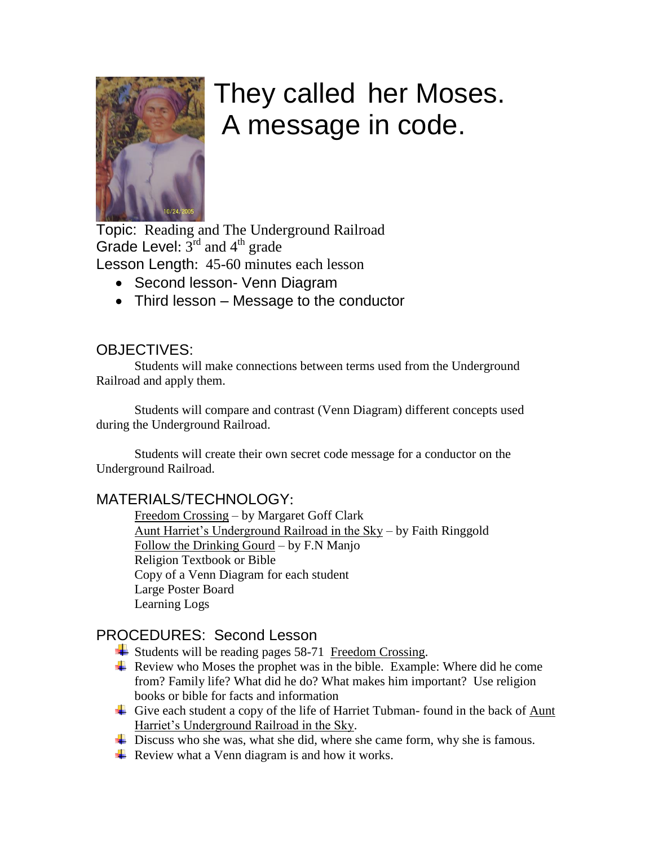

# They called her Moses. A message in code.

Topic: Reading and The Underground Railroad Grade Level:  $3^{rd}$  and  $4^{th}$  grade Lesson Length: 45-60 minutes each lesson

- Second lesson- Venn Diagram
- Third lesson Message to the conductor

## OBJECTIVES:

Students will make connections between terms used from the Underground Railroad and apply them.

Students will compare and contrast (Venn Diagram) different concepts used during the Underground Railroad.

Students will create their own secret code message for a conductor on the Underground Railroad.

## MATERIALS/TECHNOLOGY:

Freedom Crossing – by Margaret Goff Clark Aunt Harriet's Underground Railroad in the Sky – by Faith Ringgold Follow the Drinking Gourd – by F.N Manjo Religion Textbook or Bible Copy of a Venn Diagram for each student Large Poster Board Learning Logs

## PROCEDURES: Second Lesson

- Students will be reading pages 58-71 Freedom Crossing.
- $\overline{\phantom{a}}$  Review who Moses the prophet was in the bible. Example: Where did he come from? Family life? What did he do? What makes him important? Use religion books or bible for facts and information
- Give each student a copy of the life of Harriet Tubman-found in the back of Aunt Harriet's Underground Railroad in the Sky.
- ↓ Discuss who she was, what she did, where she came form, why she is famous.
- $\overline{\phantom{a}}$  Review what a Venn diagram is and how it works.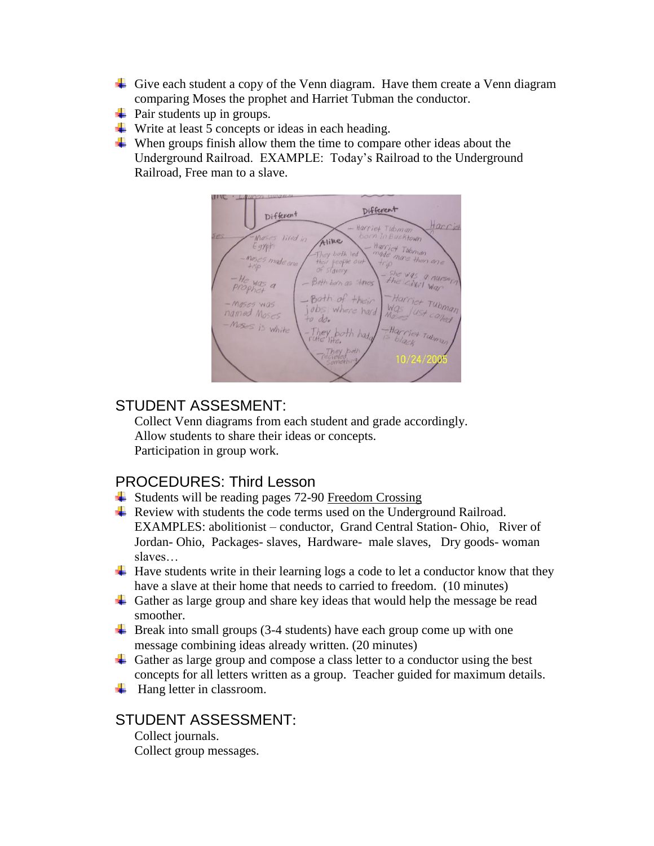- Give each student a copy of the Venn diagram. Have them create a Venn diagram comparing Moses the prophet and Harriet Tubman the conductor.
- $\overline{\phantom{a}}$  Pair students up in groups.
- $\overline{\phantom{a}}$  Write at least 5 concepts or ideas in each heading.
- $\overline{\phantom{a}}$  When groups finish allow them the time to compare other ideas about the Underground Railroad. EXAMPLE: Today's Railroad to the Underground Railroad, Free man to a slave.



#### STUDENT ASSESMENT:

Collect Venn diagrams from each student and grade accordingly. Allow students to share their ideas or concepts. Participation in group work.

## PROCEDURES: Third Lesson

- $\ddot{\bullet}$  Students will be reading pages 72-90 Freedom Crossing
- $\overline{\text{R}}$  Review with students the code terms used on the Underground Railroad. EXAMPLES: abolitionist – conductor, Grand Central Station- Ohio, River of Jordan- Ohio, Packages- slaves, Hardware- male slaves, Dry goods- woman slaves…
- $\overline{+}$  Have students write in their learning logs a code to let a conductor know that they have a slave at their home that needs to carried to freedom. (10 minutes)
- Gather as large group and share key ideas that would help the message be read smoother.
- $\overline{\phantom{a}}$  Break into small groups (3-4 students) have each group come up with one message combining ideas already written. (20 minutes)
- Gather as large group and compose a class letter to a conductor using the best concepts for all letters written as a group. Teacher guided for maximum details.
- $\overline{\phantom{a}}$  Hang letter in classroom.

## STUDENT ASSESSMENT:

Collect journals. Collect group messages.